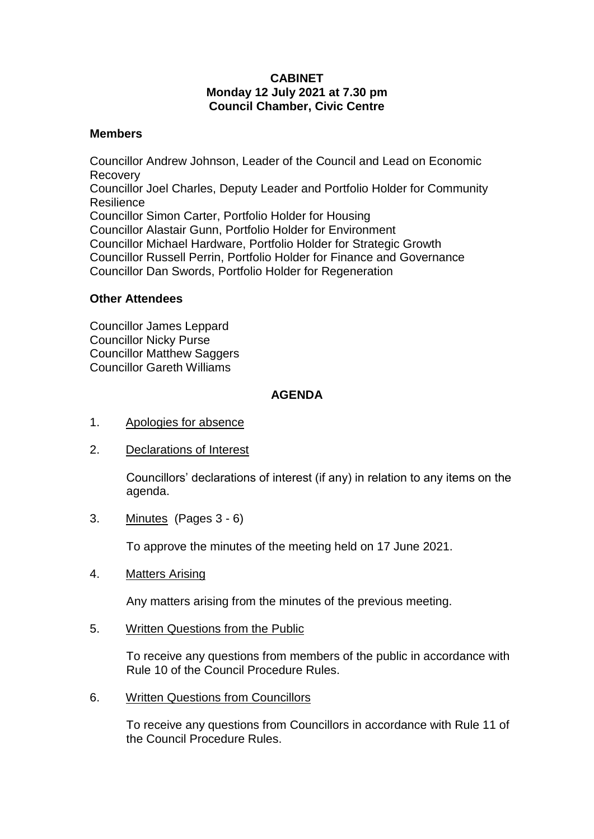## **CABINET Monday 12 July 2021 at 7.30 pm Council Chamber, Civic Centre**

## **Members**

Councillor Andrew Johnson, Leader of the Council and Lead on Economic Recovery Councillor Joel Charles, Deputy Leader and Portfolio Holder for Community Resilience Councillor Simon Carter, Portfolio Holder for Housing Councillor Alastair Gunn, Portfolio Holder for Environment Councillor Michael Hardware, Portfolio Holder for Strategic Growth Councillor Russell Perrin, Portfolio Holder for Finance and Governance Councillor Dan Swords, Portfolio Holder for Regeneration

## **Other Attendees**

Councillor James Leppard Councillor Nicky Purse Councillor Matthew Saggers Councillor Gareth Williams

## **AGENDA**

- 1. Apologies for absence
- 2. Declarations of Interest

Councillors' declarations of interest (if any) in relation to any items on the agenda.

3. Minutes (Pages 3 - 6)

To approve the minutes of the meeting held on 17 June 2021.

4. Matters Arising

Any matters arising from the minutes of the previous meeting.

5. Written Questions from the Public

To receive any questions from members of the public in accordance with Rule 10 of the Council Procedure Rules.

6. Written Questions from Councillors

To receive any questions from Councillors in accordance with Rule 11 of the Council Procedure Rules.